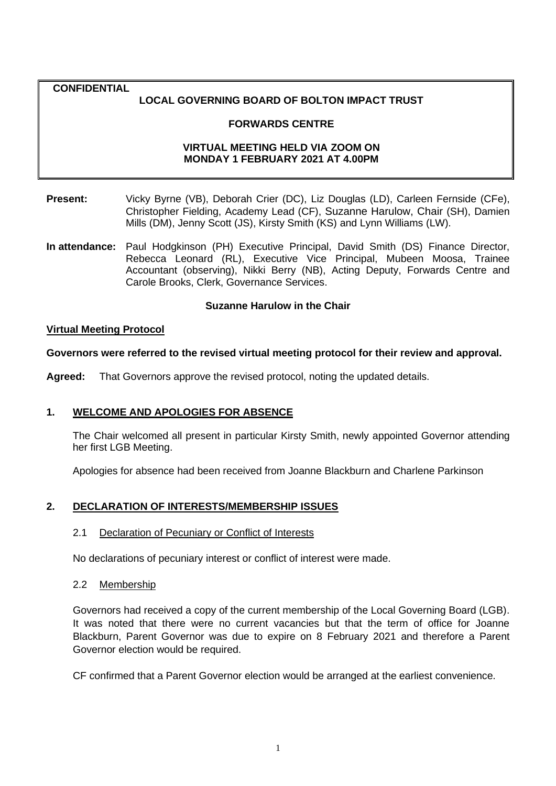## **CONFIDENTIAL**

## **LOCAL GOVERNING BOARD OF BOLTON IMPACT TRUST**

## **FORWARDS CENTRE**

## **VIRTUAL MEETING HELD VIA ZOOM ON MONDAY 1 FEBRUARY 2021 AT 4.00PM**

- **Present:** Vicky Byrne (VB), Deborah Crier (DC), Liz Douglas (LD), Carleen Fernside (CFe), Christopher Fielding, Academy Lead (CF), Suzanne Harulow, Chair (SH), Damien Mills (DM), Jenny Scott (JS), Kirsty Smith (KS) and Lynn Williams (LW).
- **In attendance:** Paul Hodgkinson (PH) Executive Principal, David Smith (DS) Finance Director, Rebecca Leonard (RL), Executive Vice Principal, Mubeen Moosa, Trainee Accountant (observing), Nikki Berry (NB), Acting Deputy, Forwards Centre and Carole Brooks, Clerk, Governance Services.

#### **Suzanne Harulow in the Chair**

#### **Virtual Meeting Protocol**

## **Governors were referred to the revised virtual meeting protocol for their review and approval.**

**Agreed:** That Governors approve the revised protocol, noting the updated details.

## **1. WELCOME AND APOLOGIES FOR ABSENCE**

The Chair welcomed all present in particular Kirsty Smith, newly appointed Governor attending her first LGB Meeting.

Apologies for absence had been received from Joanne Blackburn and Charlene Parkinson

## **2. DECLARATION OF INTERESTS/MEMBERSHIP ISSUES**

## 2.1 Declaration of Pecuniary or Conflict of Interests

No declarations of pecuniary interest or conflict of interest were made.

#### 2.2 Membership

Governors had received a copy of the current membership of the Local Governing Board (LGB). It was noted that there were no current vacancies but that the term of office for Joanne Blackburn, Parent Governor was due to expire on 8 February 2021 and therefore a Parent Governor election would be required.

CF confirmed that a Parent Governor election would be arranged at the earliest convenience.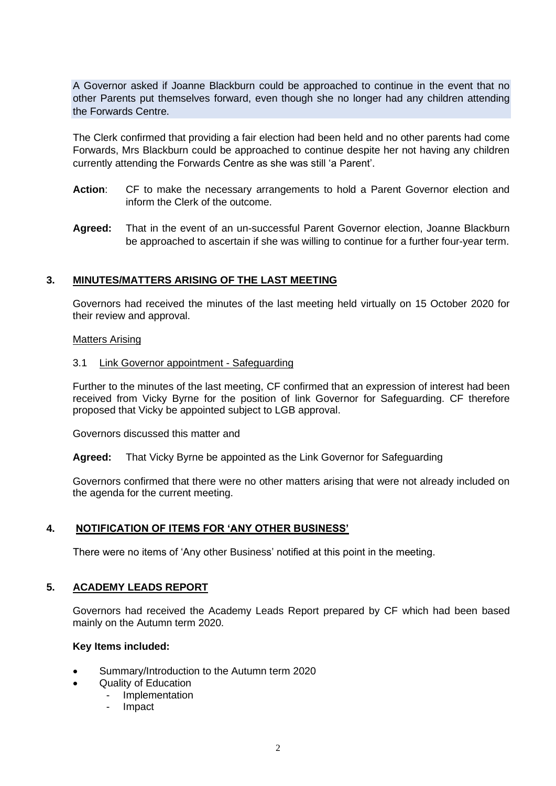A Governor asked if Joanne Blackburn could be approached to continue in the event that no other Parents put themselves forward, even though she no longer had any children attending the Forwards Centre.

The Clerk confirmed that providing a fair election had been held and no other parents had come Forwards, Mrs Blackburn could be approached to continue despite her not having any children currently attending the Forwards Centre as she was still 'a Parent'.

- **Action**: CF to make the necessary arrangements to hold a Parent Governor election and inform the Clerk of the outcome.
- **Agreed:** That in the event of an un-successful Parent Governor election, Joanne Blackburn be approached to ascertain if she was willing to continue for a further four-year term.

## **3. MINUTES/MATTERS ARISING OF THE LAST MEETING**

Governors had received the minutes of the last meeting held virtually on 15 October 2020 for their review and approval.

#### Matters Arising

#### 3.1 Link Governor appointment - Safeguarding

Further to the minutes of the last meeting, CF confirmed that an expression of interest had been received from Vicky Byrne for the position of link Governor for Safeguarding. CF therefore proposed that Vicky be appointed subject to LGB approval.

Governors discussed this matter and

**Agreed:** That Vicky Byrne be appointed as the Link Governor for Safeguarding

Governors confirmed that there were no other matters arising that were not already included on the agenda for the current meeting.

## **4. NOTIFICATION OF ITEMS FOR 'ANY OTHER BUSINESS'**

There were no items of 'Any other Business' notified at this point in the meeting.

## **5. ACADEMY LEADS REPORT**

Governors had received the Academy Leads Report prepared by CF which had been based mainly on the Autumn term 2020.

#### **Key Items included:**

- Summary/Introduction to the Autumn term 2020
- Quality of Education
	- **Implementation**
	- **Impact**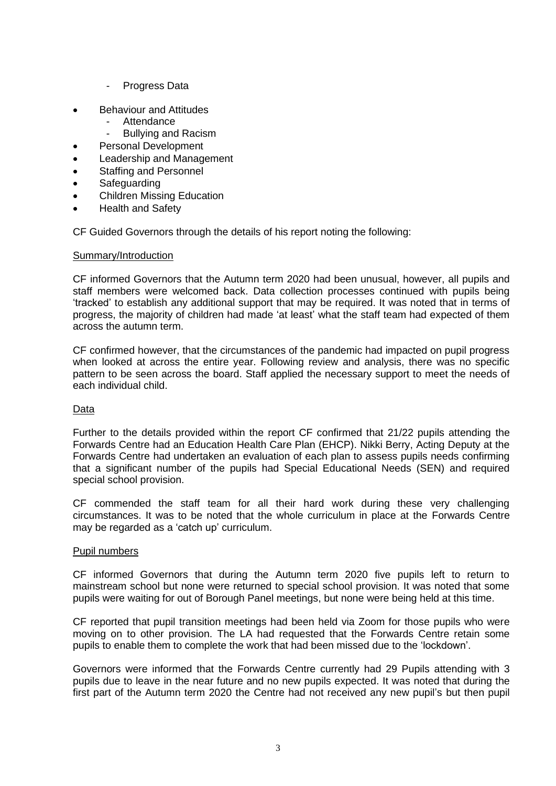- Progress Data
- Behaviour and Attitudes
	- **Attendance**
	- Bullying and Racism
- Personal Development
- Leadership and Management
- Staffing and Personnel
- Safeguarding
- Children Missing Education
- Health and Safety

CF Guided Governors through the details of his report noting the following:

#### Summary/Introduction

CF informed Governors that the Autumn term 2020 had been unusual, however, all pupils and staff members were welcomed back. Data collection processes continued with pupils being 'tracked' to establish any additional support that may be required. It was noted that in terms of progress, the majority of children had made 'at least' what the staff team had expected of them across the autumn term.

CF confirmed however, that the circumstances of the pandemic had impacted on pupil progress when looked at across the entire year. Following review and analysis, there was no specific pattern to be seen across the board. Staff applied the necessary support to meet the needs of each individual child.

## Data

Further to the details provided within the report CF confirmed that 21/22 pupils attending the Forwards Centre had an Education Health Care Plan (EHCP). Nikki Berry, Acting Deputy at the Forwards Centre had undertaken an evaluation of each plan to assess pupils needs confirming that a significant number of the pupils had Special Educational Needs (SEN) and required special school provision.

CF commended the staff team for all their hard work during these very challenging circumstances. It was to be noted that the whole curriculum in place at the Forwards Centre may be regarded as a 'catch up' curriculum.

#### Pupil numbers

CF informed Governors that during the Autumn term 2020 five pupils left to return to mainstream school but none were returned to special school provision. It was noted that some pupils were waiting for out of Borough Panel meetings, but none were being held at this time.

CF reported that pupil transition meetings had been held via Zoom for those pupils who were moving on to other provision. The LA had requested that the Forwards Centre retain some pupils to enable them to complete the work that had been missed due to the 'lockdown'.

Governors were informed that the Forwards Centre currently had 29 Pupils attending with 3 pupils due to leave in the near future and no new pupils expected. It was noted that during the first part of the Autumn term 2020 the Centre had not received any new pupil's but then pupil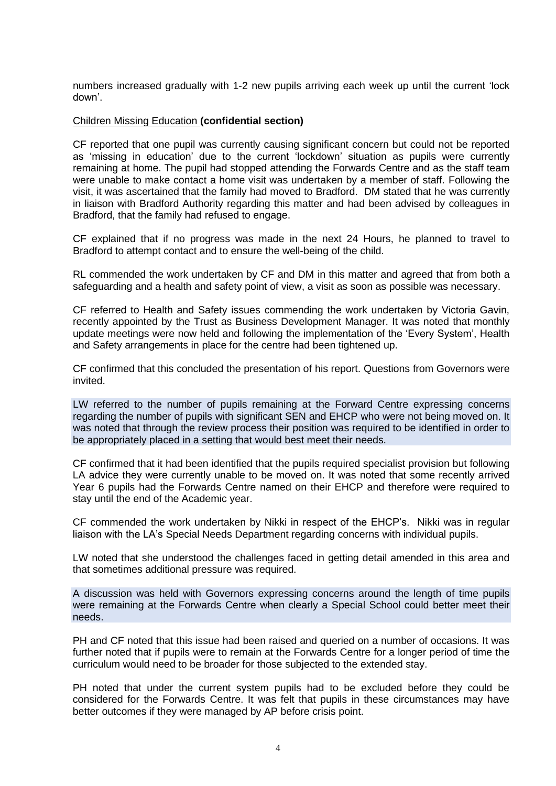numbers increased gradually with 1-2 new pupils arriving each week up until the current 'lock down'.

#### Children Missing Education **(confidential section)**

CF reported that one pupil was currently causing significant concern but could not be reported as 'missing in education' due to the current 'lockdown' situation as pupils were currently remaining at home. The pupil had stopped attending the Forwards Centre and as the staff team were unable to make contact a home visit was undertaken by a member of staff. Following the visit, it was ascertained that the family had moved to Bradford. DM stated that he was currently in liaison with Bradford Authority regarding this matter and had been advised by colleagues in Bradford, that the family had refused to engage.

CF explained that if no progress was made in the next 24 Hours, he planned to travel to Bradford to attempt contact and to ensure the well-being of the child.

RL commended the work undertaken by CF and DM in this matter and agreed that from both a safeguarding and a health and safety point of view, a visit as soon as possible was necessary.

CF referred to Health and Safety issues commending the work undertaken by Victoria Gavin, recently appointed by the Trust as Business Development Manager. It was noted that monthly update meetings were now held and following the implementation of the 'Every System', Health and Safety arrangements in place for the centre had been tightened up.

CF confirmed that this concluded the presentation of his report. Questions from Governors were invited.

LW referred to the number of pupils remaining at the Forward Centre expressing concerns regarding the number of pupils with significant SEN and EHCP who were not being moved on. It was noted that through the review process their position was required to be identified in order to be appropriately placed in a setting that would best meet their needs.

CF confirmed that it had been identified that the pupils required specialist provision but following LA advice they were currently unable to be moved on. It was noted that some recently arrived Year 6 pupils had the Forwards Centre named on their EHCP and therefore were required to stay until the end of the Academic year.

CF commended the work undertaken by Nikki in respect of the EHCP's. Nikki was in regular liaison with the LA's Special Needs Department regarding concerns with individual pupils.

LW noted that she understood the challenges faced in getting detail amended in this area and that sometimes additional pressure was required.

A discussion was held with Governors expressing concerns around the length of time pupils were remaining at the Forwards Centre when clearly a Special School could better meet their needs.

PH and CF noted that this issue had been raised and queried on a number of occasions. It was further noted that if pupils were to remain at the Forwards Centre for a longer period of time the curriculum would need to be broader for those subjected to the extended stay.

PH noted that under the current system pupils had to be excluded before they could be considered for the Forwards Centre. It was felt that pupils in these circumstances may have better outcomes if they were managed by AP before crisis point.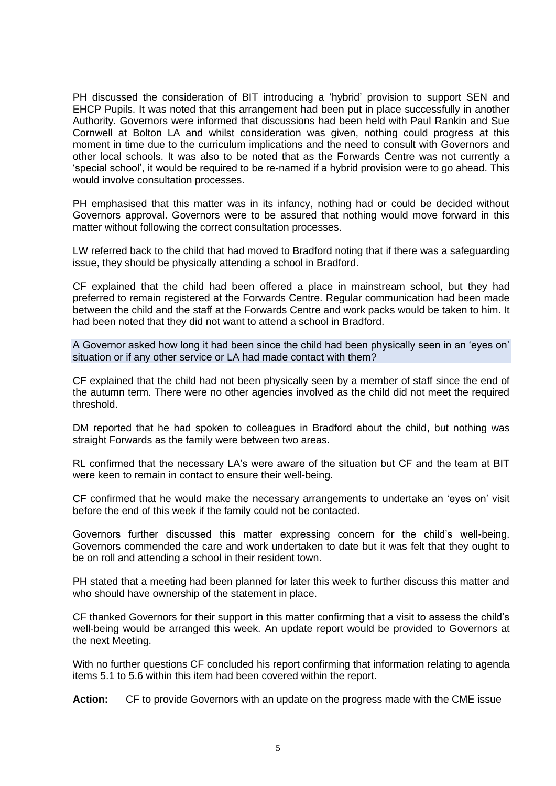PH discussed the consideration of BIT introducing a 'hybrid' provision to support SEN and EHCP Pupils. It was noted that this arrangement had been put in place successfully in another Authority. Governors were informed that discussions had been held with Paul Rankin and Sue Cornwell at Bolton LA and whilst consideration was given, nothing could progress at this moment in time due to the curriculum implications and the need to consult with Governors and other local schools. It was also to be noted that as the Forwards Centre was not currently a 'special school', it would be required to be re-named if a hybrid provision were to go ahead. This would involve consultation processes.

PH emphasised that this matter was in its infancy, nothing had or could be decided without Governors approval. Governors were to be assured that nothing would move forward in this matter without following the correct consultation processes.

LW referred back to the child that had moved to Bradford noting that if there was a safeguarding issue, they should be physically attending a school in Bradford.

CF explained that the child had been offered a place in mainstream school, but they had preferred to remain registered at the Forwards Centre. Regular communication had been made between the child and the staff at the Forwards Centre and work packs would be taken to him. It had been noted that they did not want to attend a school in Bradford.

A Governor asked how long it had been since the child had been physically seen in an 'eyes on' situation or if any other service or LA had made contact with them?

CF explained that the child had not been physically seen by a member of staff since the end of the autumn term. There were no other agencies involved as the child did not meet the required threshold.

DM reported that he had spoken to colleagues in Bradford about the child, but nothing was straight Forwards as the family were between two areas.

RL confirmed that the necessary LA's were aware of the situation but CF and the team at BIT were keen to remain in contact to ensure their well-being.

CF confirmed that he would make the necessary arrangements to undertake an 'eyes on' visit before the end of this week if the family could not be contacted.

Governors further discussed this matter expressing concern for the child's well-being. Governors commended the care and work undertaken to date but it was felt that they ought to be on roll and attending a school in their resident town.

PH stated that a meeting had been planned for later this week to further discuss this matter and who should have ownership of the statement in place.

CF thanked Governors for their support in this matter confirming that a visit to assess the child's well-being would be arranged this week. An update report would be provided to Governors at the next Meeting.

With no further questions CF concluded his report confirming that information relating to agenda items 5.1 to 5.6 within this item had been covered within the report.

**Action:** CF to provide Governors with an update on the progress made with the CME issue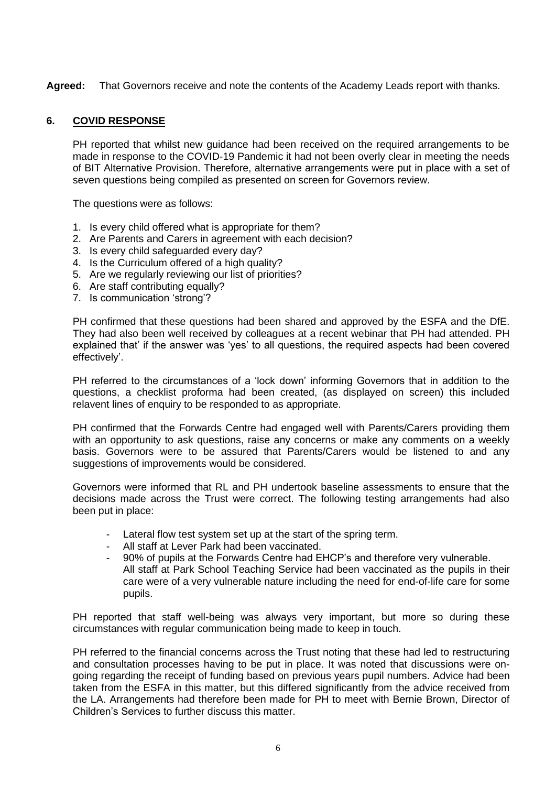**Agreed:** That Governors receive and note the contents of the Academy Leads report with thanks.

## **6. COVID RESPONSE**

PH reported that whilst new guidance had been received on the required arrangements to be made in response to the COVID-19 Pandemic it had not been overly clear in meeting the needs of BIT Alternative Provision. Therefore, alternative arrangements were put in place with a set of seven questions being compiled as presented on screen for Governors review.

The questions were as follows:

- 1. Is every child offered what is appropriate for them?
- 2. Are Parents and Carers in agreement with each decision?
- 3. Is every child safeguarded every day?
- 4. Is the Curriculum offered of a high quality?
- 5. Are we regularly reviewing our list of priorities?
- 6. Are staff contributing equally?
- 7. Is communication 'strong'?

PH confirmed that these questions had been shared and approved by the ESFA and the DfE. They had also been well received by colleagues at a recent webinar that PH had attended. PH explained that' if the answer was 'yes' to all questions, the required aspects had been covered effectively'.

PH referred to the circumstances of a 'lock down' informing Governors that in addition to the questions, a checklist proforma had been created, (as displayed on screen) this included relavent lines of enquiry to be responded to as appropriate.

PH confirmed that the Forwards Centre had engaged well with Parents/Carers providing them with an opportunity to ask questions, raise any concerns or make any comments on a weekly basis. Governors were to be assured that Parents/Carers would be listened to and any suggestions of improvements would be considered.

Governors were informed that RL and PH undertook baseline assessments to ensure that the decisions made across the Trust were correct. The following testing arrangements had also been put in place:

- Lateral flow test system set up at the start of the spring term.
- All staff at Lever Park had been vaccinated.
- 90% of pupils at the Forwards Centre had EHCP's and therefore very vulnerable. All staff at Park School Teaching Service had been vaccinated as the pupils in their care were of a very vulnerable nature including the need for end-of-life care for some pupils.

PH reported that staff well-being was always very important, but more so during these circumstances with regular communication being made to keep in touch.

PH referred to the financial concerns across the Trust noting that these had led to restructuring and consultation processes having to be put in place. It was noted that discussions were ongoing regarding the receipt of funding based on previous years pupil numbers. Advice had been taken from the ESFA in this matter, but this differed significantly from the advice received from the LA. Arrangements had therefore been made for PH to meet with Bernie Brown, Director of Children's Services to further discuss this matter.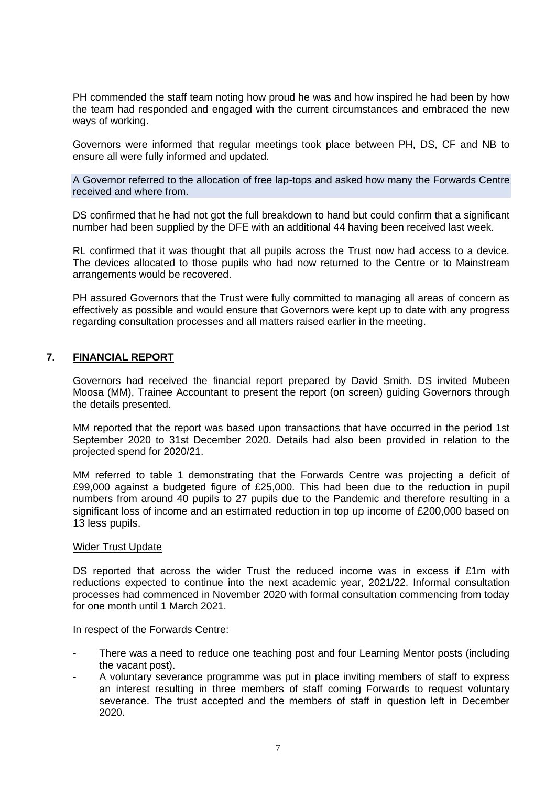PH commended the staff team noting how proud he was and how inspired he had been by how the team had responded and engaged with the current circumstances and embraced the new ways of working.

Governors were informed that regular meetings took place between PH, DS, CF and NB to ensure all were fully informed and updated.

A Governor referred to the allocation of free lap-tops and asked how many the Forwards Centre received and where from.

DS confirmed that he had not got the full breakdown to hand but could confirm that a significant number had been supplied by the DFE with an additional 44 having been received last week.

RL confirmed that it was thought that all pupils across the Trust now had access to a device. The devices allocated to those pupils who had now returned to the Centre or to Mainstream arrangements would be recovered.

PH assured Governors that the Trust were fully committed to managing all areas of concern as effectively as possible and would ensure that Governors were kept up to date with any progress regarding consultation processes and all matters raised earlier in the meeting.

#### **7. FINANCIAL REPORT**

Governors had received the financial report prepared by David Smith. DS invited Mubeen Moosa (MM), Trainee Accountant to present the report (on screen) guiding Governors through the details presented.

MM reported that the report was based upon transactions that have occurred in the period 1st September 2020 to 31st December 2020. Details had also been provided in relation to the projected spend for 2020/21.

MM referred to table 1 demonstrating that the Forwards Centre was projecting a deficit of £99,000 against a budgeted figure of £25,000. This had been due to the reduction in pupil numbers from around 40 pupils to 27 pupils due to the Pandemic and therefore resulting in a significant loss of income and an estimated reduction in top up income of £200,000 based on 13 less pupils.

#### Wider Trust Update

DS reported that across the wider Trust the reduced income was in excess if £1m with reductions expected to continue into the next academic year, 2021/22. Informal consultation processes had commenced in November 2020 with formal consultation commencing from today for one month until 1 March 2021.

In respect of the Forwards Centre:

- There was a need to reduce one teaching post and four Learning Mentor posts (including the vacant post).
- A voluntary severance programme was put in place inviting members of staff to express an interest resulting in three members of staff coming Forwards to request voluntary severance. The trust accepted and the members of staff in question left in December 2020.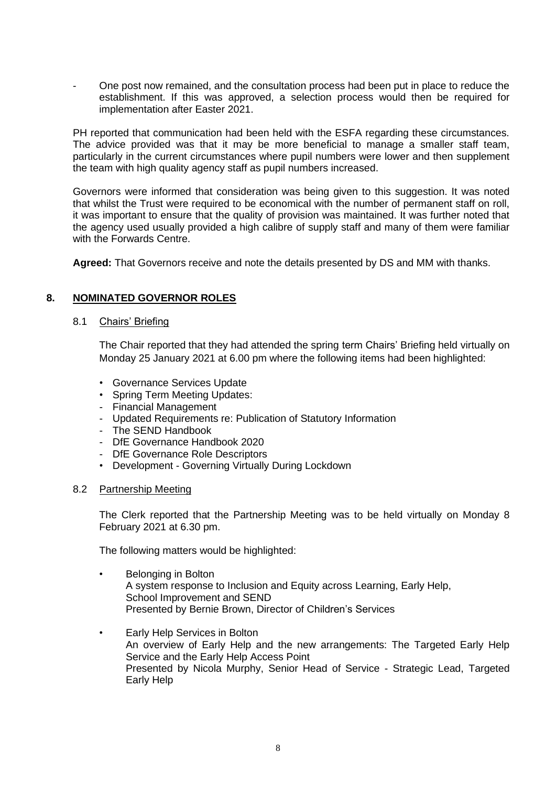- One post now remained, and the consultation process had been put in place to reduce the establishment. If this was approved, a selection process would then be required for implementation after Easter 2021.

PH reported that communication had been held with the ESFA regarding these circumstances. The advice provided was that it may be more beneficial to manage a smaller staff team, particularly in the current circumstances where pupil numbers were lower and then supplement the team with high quality agency staff as pupil numbers increased.

Governors were informed that consideration was being given to this suggestion. It was noted that whilst the Trust were required to be economical with the number of permanent staff on roll, it was important to ensure that the quality of provision was maintained. It was further noted that the agency used usually provided a high calibre of supply staff and many of them were familiar with the Forwards Centre.

**Agreed:** That Governors receive and note the details presented by DS and MM with thanks.

## **8. NOMINATED GOVERNOR ROLES**

#### 8.1 Chairs' Briefing

The Chair reported that they had attended the spring term Chairs' Briefing held virtually on Monday 25 January 2021 at 6.00 pm where the following items had been highlighted:

- Governance Services Update
- Spring Term Meeting Updates:
- Financial Management
- Updated Requirements re: Publication of Statutory Information
- The SEND Handbook
- DfE Governance Handbook 2020
- DfE Governance Role Descriptors
- Development Governing Virtually During Lockdown

#### 8.2 Partnership Meeting

The Clerk reported that the Partnership Meeting was to be held virtually on Monday 8 February 2021 at 6.30 pm.

The following matters would be highlighted:

- Belonging in Bolton A system response to Inclusion and Equity across Learning, Early Help, School Improvement and SEND Presented by Bernie Brown, Director of Children's Services
- Early Help Services in Bolton An overview of Early Help and the new arrangements: The Targeted Early Help Service and the Early Help Access Point Presented by Nicola Murphy, Senior Head of Service - Strategic Lead, Targeted Early Help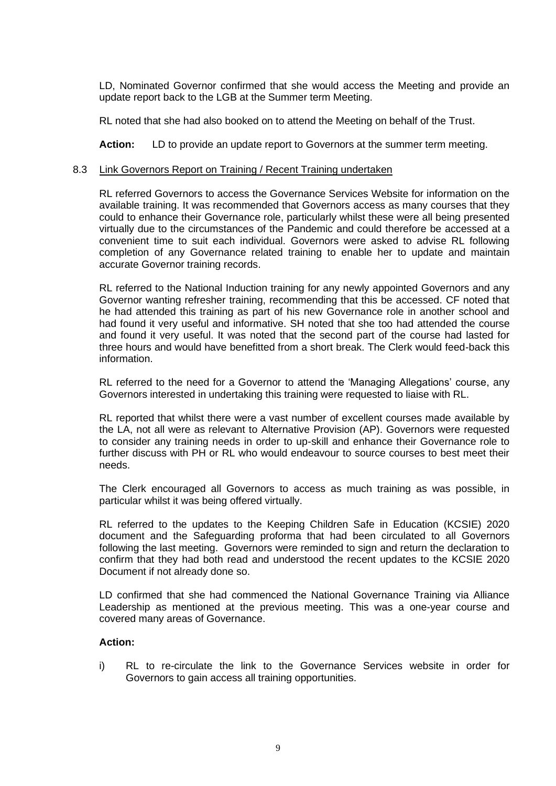LD, Nominated Governor confirmed that she would access the Meeting and provide an update report back to the LGB at the Summer term Meeting.

RL noted that she had also booked on to attend the Meeting on behalf of the Trust.

**Action:** LD to provide an update report to Governors at the summer term meeting.

#### 8.3 Link Governors Report on Training / Recent Training undertaken

RL referred Governors to access the Governance Services Website for information on the available training. It was recommended that Governors access as many courses that they could to enhance their Governance role, particularly whilst these were all being presented virtually due to the circumstances of the Pandemic and could therefore be accessed at a convenient time to suit each individual. Governors were asked to advise RL following completion of any Governance related training to enable her to update and maintain accurate Governor training records.

RL referred to the National Induction training for any newly appointed Governors and any Governor wanting refresher training, recommending that this be accessed. CF noted that he had attended this training as part of his new Governance role in another school and had found it very useful and informative. SH noted that she too had attended the course and found it very useful. It was noted that the second part of the course had lasted for three hours and would have benefitted from a short break. The Clerk would feed-back this information.

RL referred to the need for a Governor to attend the 'Managing Allegations' course, any Governors interested in undertaking this training were requested to liaise with RL.

RL reported that whilst there were a vast number of excellent courses made available by the LA, not all were as relevant to Alternative Provision (AP). Governors were requested to consider any training needs in order to up-skill and enhance their Governance role to further discuss with PH or RL who would endeavour to source courses to best meet their needs.

The Clerk encouraged all Governors to access as much training as was possible, in particular whilst it was being offered virtually.

RL referred to the updates to the Keeping Children Safe in Education (KCSIE) 2020 document and the Safeguarding proforma that had been circulated to all Governors following the last meeting. Governors were reminded to sign and return the declaration to confirm that they had both read and understood the recent updates to the KCSIE 2020 Document if not already done so.

LD confirmed that she had commenced the National Governance Training via Alliance Leadership as mentioned at the previous meeting. This was a one-year course and covered many areas of Governance.

#### **Action:**

i) RL to re-circulate the link to the Governance Services website in order for Governors to gain access all training opportunities.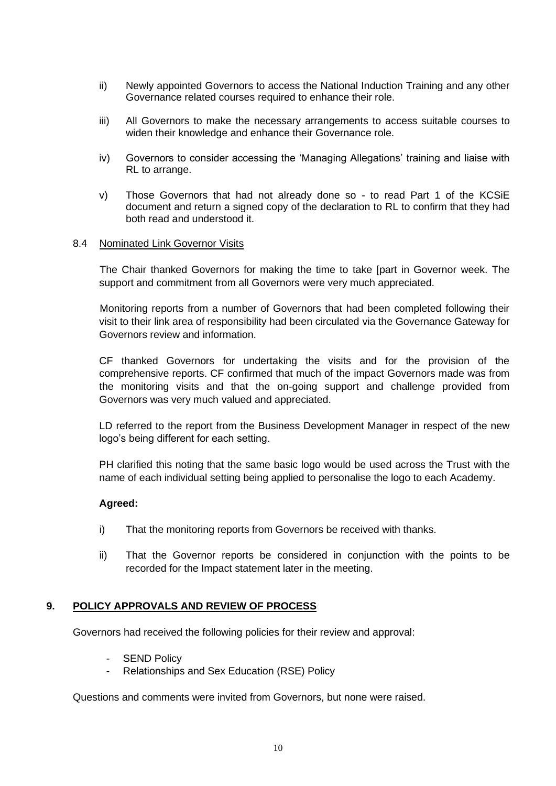- ii) Newly appointed Governors to access the National Induction Training and any other Governance related courses required to enhance their role.
- iii) All Governors to make the necessary arrangements to access suitable courses to widen their knowledge and enhance their Governance role.
- iv) Governors to consider accessing the 'Managing Allegations' training and liaise with RL to arrange.
- v) Those Governors that had not already done so to read Part 1 of the KCSiE document and return a signed copy of the declaration to RL to confirm that they had both read and understood it.

#### 8.4 Nominated Link Governor Visits

The Chair thanked Governors for making the time to take [part in Governor week. The support and commitment from all Governors were very much appreciated.

Monitoring reports from a number of Governors that had been completed following their visit to their link area of responsibility had been circulated via the Governance Gateway for Governors review and information.

CF thanked Governors for undertaking the visits and for the provision of the comprehensive reports. CF confirmed that much of the impact Governors made was from the monitoring visits and that the on-going support and challenge provided from Governors was very much valued and appreciated.

LD referred to the report from the Business Development Manager in respect of the new logo's being different for each setting.

PH clarified this noting that the same basic logo would be used across the Trust with the name of each individual setting being applied to personalise the logo to each Academy.

## **Agreed:**

- i) That the monitoring reports from Governors be received with thanks.
- ii) That the Governor reports be considered in conjunction with the points to be recorded for the Impact statement later in the meeting.

## **9. POLICY APPROVALS AND REVIEW OF PROCESS**

Governors had received the following policies for their review and approval:

- **SEND Policy**
- Relationships and Sex Education (RSE) Policy

Questions and comments were invited from Governors, but none were raised.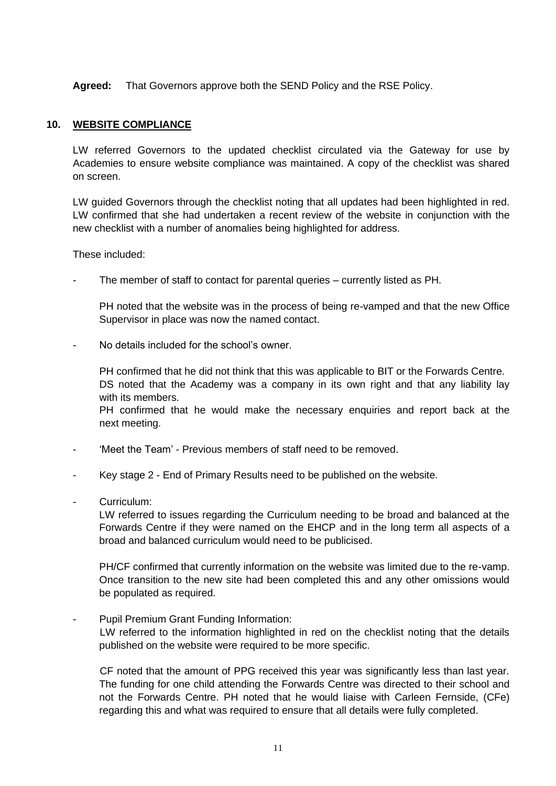**Agreed:** That Governors approve both the SEND Policy and the RSE Policy.

#### **10. WEBSITE COMPLIANCE**

LW referred Governors to the updated checklist circulated via the Gateway for use by Academies to ensure website compliance was maintained. A copy of the checklist was shared on screen.

LW guided Governors through the checklist noting that all updates had been highlighted in red. LW confirmed that she had undertaken a recent review of the website in conjunction with the new checklist with a number of anomalies being highlighted for address.

These included:

The member of staff to contact for parental queries – currently listed as PH.

PH noted that the website was in the process of being re-vamped and that the new Office Supervisor in place was now the named contact.

No details included for the school's owner.

PH confirmed that he did not think that this was applicable to BIT or the Forwards Centre. DS noted that the Academy was a company in its own right and that any liability lay with its members.

PH confirmed that he would make the necessary enquiries and report back at the next meeting.

- 'Meet the Team' Previous members of staff need to be removed.
- Key stage 2 End of Primary Results need to be published on the website.
- Curriculum:

LW referred to issues regarding the Curriculum needing to be broad and balanced at the Forwards Centre if they were named on the EHCP and in the long term all aspects of a broad and balanced curriculum would need to be publicised.

PH/CF confirmed that currently information on the website was limited due to the re-vamp. Once transition to the new site had been completed this and any other omissions would be populated as required.

Pupil Premium Grant Funding Information: LW referred to the information highlighted in red on the checklist noting that the details published on the website were required to be more specific.

CF noted that the amount of PPG received this year was significantly less than last year. The funding for one child attending the Forwards Centre was directed to their school and not the Forwards Centre. PH noted that he would liaise with Carleen Fernside, (CFe) regarding this and what was required to ensure that all details were fully completed.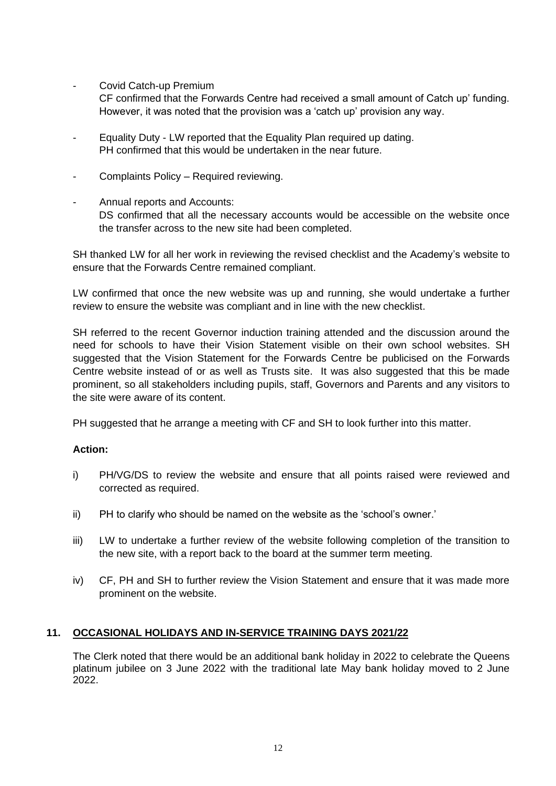Covid Catch-up Premium

CF confirmed that the Forwards Centre had received a small amount of Catch up' funding. However, it was noted that the provision was a 'catch up' provision any way.

- Equality Duty LW reported that the Equality Plan required up dating. PH confirmed that this would be undertaken in the near future.
- Complaints Policy Required reviewing.
- Annual reports and Accounts: DS confirmed that all the necessary accounts would be accessible on the website once the transfer across to the new site had been completed.

SH thanked LW for all her work in reviewing the revised checklist and the Academy's website to ensure that the Forwards Centre remained compliant.

LW confirmed that once the new website was up and running, she would undertake a further review to ensure the website was compliant and in line with the new checklist.

SH referred to the recent Governor induction training attended and the discussion around the need for schools to have their Vision Statement visible on their own school websites. SH suggested that the Vision Statement for the Forwards Centre be publicised on the Forwards Centre website instead of or as well as Trusts site. It was also suggested that this be made prominent, so all stakeholders including pupils, staff, Governors and Parents and any visitors to the site were aware of its content.

PH suggested that he arrange a meeting with CF and SH to look further into this matter.

## **Action:**

- i) PH/VG/DS to review the website and ensure that all points raised were reviewed and corrected as required.
- ii) PH to clarify who should be named on the website as the 'school's owner.'
- iii) LW to undertake a further review of the website following completion of the transition to the new site, with a report back to the board at the summer term meeting.
- iv) CF, PH and SH to further review the Vision Statement and ensure that it was made more prominent on the website.

# **11. OCCASIONAL HOLIDAYS AND IN-SERVICE TRAINING DAYS 2021/22**

The Clerk noted that there would be an additional bank holiday in 2022 to celebrate the Queens platinum jubilee on 3 June 2022 with the traditional late May bank holiday moved to 2 June 2022.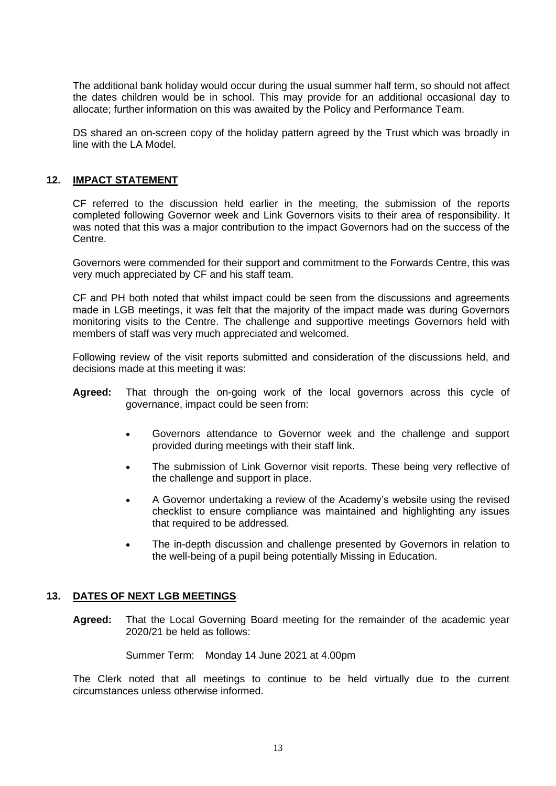The additional bank holiday would occur during the usual summer half term, so should not affect the dates children would be in school. This may provide for an additional occasional day to allocate; further information on this was awaited by the Policy and Performance Team.

DS shared an on-screen copy of the holiday pattern agreed by the Trust which was broadly in line with the LA Model.

## **12. IMPACT STATEMENT**

CF referred to the discussion held earlier in the meeting, the submission of the reports completed following Governor week and Link Governors visits to their area of responsibility. It was noted that this was a major contribution to the impact Governors had on the success of the Centre.

Governors were commended for their support and commitment to the Forwards Centre, this was very much appreciated by CF and his staff team.

CF and PH both noted that whilst impact could be seen from the discussions and agreements made in LGB meetings, it was felt that the majority of the impact made was during Governors monitoring visits to the Centre. The challenge and supportive meetings Governors held with members of staff was very much appreciated and welcomed.

Following review of the visit reports submitted and consideration of the discussions held, and decisions made at this meeting it was:

- **Agreed:** That through the on-going work of the local governors across this cycle of governance, impact could be seen from:
	- Governors attendance to Governor week and the challenge and support provided during meetings with their staff link.
	- The submission of Link Governor visit reports. These being very reflective of the challenge and support in place.
	- A Governor undertaking a review of the Academy's website using the revised checklist to ensure compliance was maintained and highlighting any issues that required to be addressed.
	- The in-depth discussion and challenge presented by Governors in relation to the well-being of a pupil being potentially Missing in Education.

## **13. DATES OF NEXT LGB MEETINGS**

**Agreed:** That the Local Governing Board meeting for the remainder of the academic year 2020/21 be held as follows:

Summer Term: Monday 14 June 2021 at 4.00pm

The Clerk noted that all meetings to continue to be held virtually due to the current circumstances unless otherwise informed.